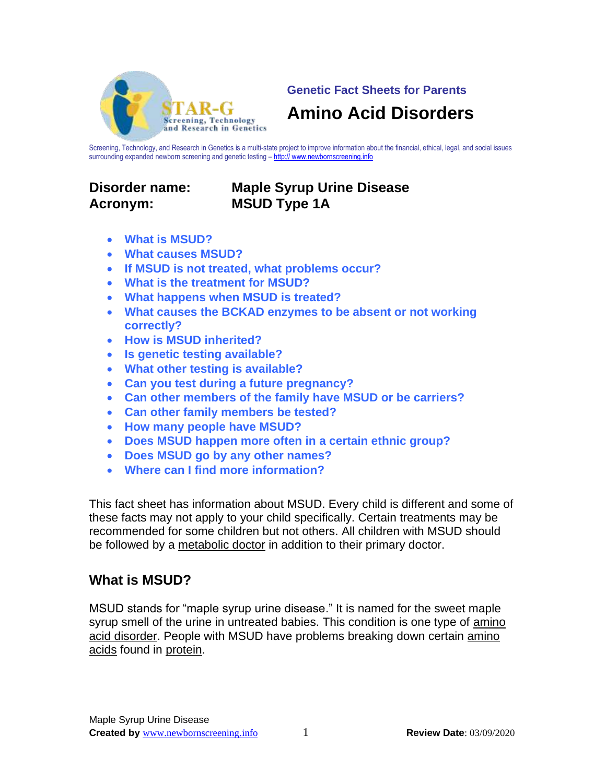

**Genetic Fact Sheets for Parents**

## **Amino Acid Disorders**

Screening, Technology, and Research in Genetics is a multi-state project to improve information about the financial, ethical, legal, and social issues surrounding expanded newborn screening and genetic testing – http:// www.newbornscreening.info

# **Acronym: MSUD Type 1A**

# **Disorder name: Maple Syrup Urine Disease**

- **What is MSUD?**
- **What causes MSUD?**
- **If MSUD is not treated, what problems occur?**
- **What is the treatment for MSUD?**
- **What happens when MSUD is treated?**
- **What causes the BCKAD enzymes to be absent or not working correctly?**
- **How is MSUD inherited?**
- **Is genetic testing available?**
- **What other testing is available?**
- **Can you test during a future pregnancy?**
- **Can other members of the family have MSUD or be carriers?**
- **Can other family members be tested?**
- **How many people have MSUD?**
- **Does MSUD happen more often in a certain ethnic group?**
- **Does MSUD go by any other names?**
- **Where can I find more information?**

This fact sheet has information about MSUD. Every child is different and some of these facts may not apply to your child specifically. Certain treatments may be recommended for some children but not others. All children with MSUD should be followed by a metabolic doctor in addition to their primary doctor.

## **What is MSUD?**

MSUD stands for "maple syrup urine disease." It is named for the sweet maple syrup smell of the urine in untreated babies. This condition is one type of amino acid disorder. People with MSUD have problems breaking down certain amino acids found in protein.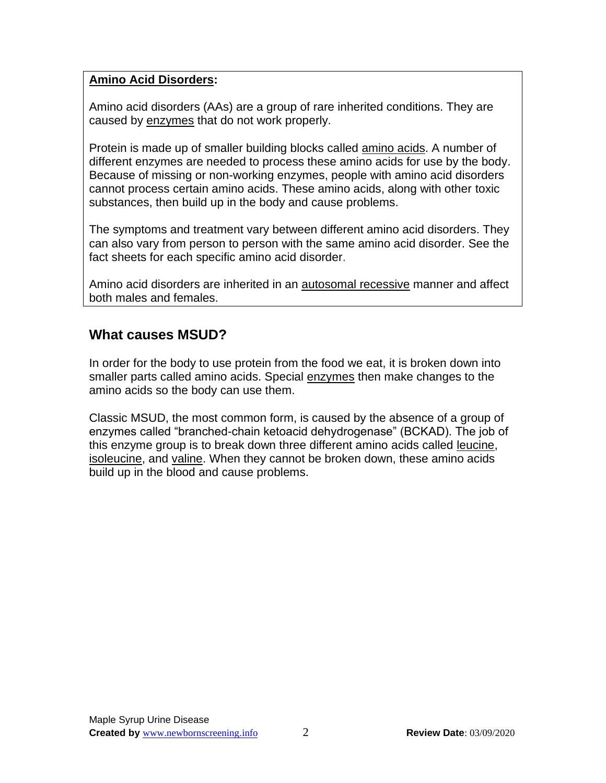#### **Amino Acid Disorders:**

Amino acid disorders (AAs) are a group of rare inherited conditions. They are caused by enzymes that do not work properly.

Protein is made up of smaller building blocks called amino acids. A number of different enzymes are needed to process these amino acids for use by the body. Because of missing or non-working enzymes, people with amino acid disorders cannot process certain amino acids. These amino acids, along with other toxic substances, then build up in the body and cause problems.

The symptoms and treatment vary between different amino acid disorders. They can also vary from person to person with the same amino acid disorder. See the fact sheets for each specific amino acid disorder.

Amino acid disorders are inherited in an autosomal recessive manner and affect both males and females.

## **What causes MSUD?**

In order for the body to use protein from the food we eat, it is broken down into smaller parts called amino acids. Special enzymes then make changes to the amino acids so the body can use them.

Classic MSUD, the most common form, is caused by the absence of a group of enzymes called "branched-chain ketoacid dehydrogenase" (BCKAD). The job of this enzyme group is to break down three different amino acids called leucine, isoleucine, and valine. When they cannot be broken down, these amino acids build up in the blood and cause problems.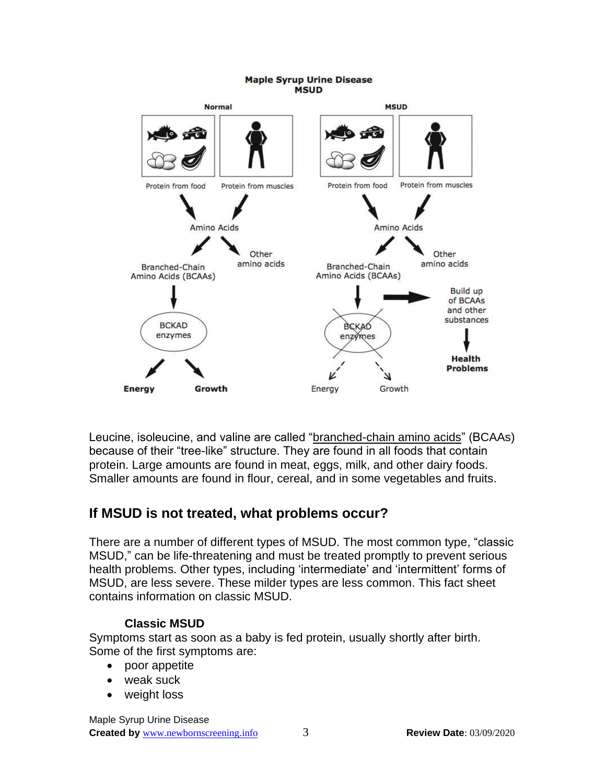#### **Maple Syrup Urine Disease MSUD**



Leucine, isoleucine, and valine are called "branched-chain amino acids" (BCAAs) because of their "tree-like" structure. They are found in all foods that contain protein. Large amounts are found in meat, eggs, milk, and other dairy foods. Smaller amounts are found in flour, cereal, and in some vegetables and fruits.

### **If MSUD is not treated, what problems occur?**

There are a number of different types of MSUD. The most common type, "classic MSUD," can be life-threatening and must be treated promptly to prevent serious health problems. Other types, including 'intermediate' and 'intermittent' forms of MSUD, are less severe. These milder types are less common. This fact sheet contains information on classic MSUD.

#### **Classic MSUD**

Symptoms start as soon as a baby is fed protein, usually shortly after birth. Some of the first symptoms are:

- poor appetite
- weak suck
- weight loss

Maple Syrup Urine Disease **Created by** [www.newbornscreening.i](http://www.newbornscreening.org/)nfo 3 **Review Date**: 03/09/2020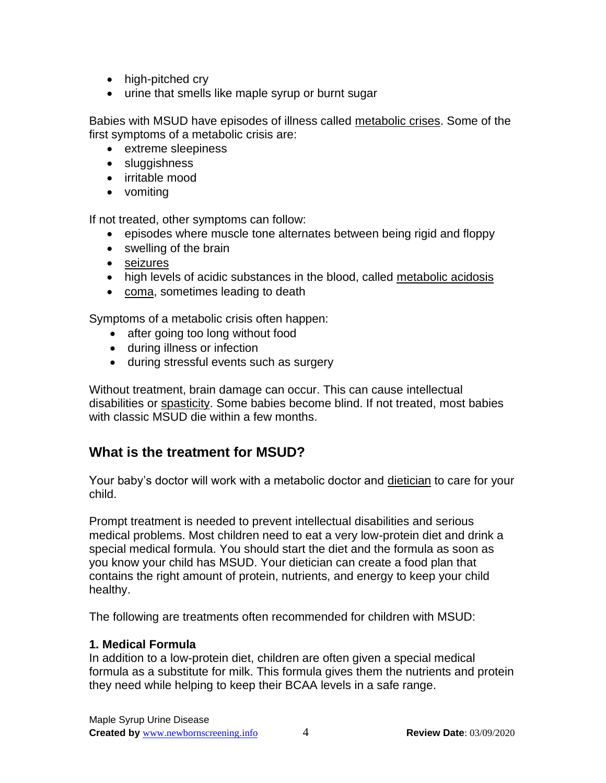- high-pitched cry
- urine that smells like maple syrup or burnt sugar

Babies with MSUD have episodes of illness called metabolic crises. Some of the first symptoms of a metabolic crisis are:

- extreme sleepiness
- sluggishness
- irritable mood
- vomiting

If not treated, other symptoms can follow:

- episodes where muscle tone alternates between being rigid and floppy
- swelling of the brain
- seizures
- high levels of acidic substances in the blood, called metabolic acidosis
- coma, sometimes leading to death

Symptoms of a metabolic crisis often happen:

- after going too long without food
- during illness or infection
- during stressful events such as surgery

Without treatment, brain damage can occur. This can cause intellectual disabilities or spasticity. Some babies become blind. If not treated, most babies with classic MSUD die within a few months.

## **What is the treatment for MSUD?**

Your baby's doctor will work with a metabolic doctor and dietician to care for your child.

Prompt treatment is needed to prevent intellectual disabilities and serious medical problems. Most children need to eat a very low-protein diet and drink a special medical formula. You should start the diet and the formula as soon as you know your child has MSUD. Your dietician can create a food plan that contains the right amount of protein, nutrients, and energy to keep your child healthy.

The following are treatments often recommended for children with MSUD:

#### **1. Medical Formula**

In addition to a low-protein diet, children are often given a special medical formula as a substitute for milk. This formula gives them the nutrients and protein they need while helping to keep their BCAA levels in a safe range.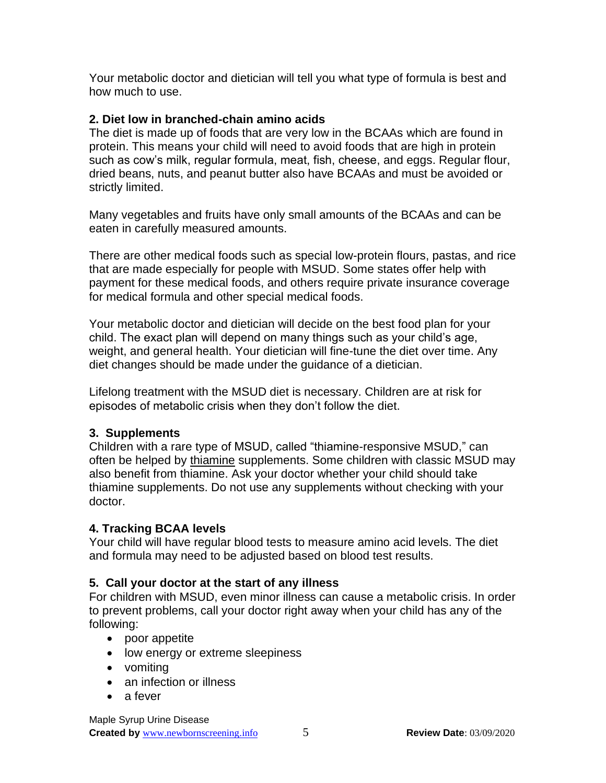Your metabolic doctor and dietician will tell you what type of formula is best and how much to use.

#### **2. Diet low in branched-chain amino acids**

The diet is made up of foods that are very low in the BCAAs which are found in protein. This means your child will need to avoid foods that are high in protein such as cow's milk, regular formula, meat, fish, cheese, and eggs. Regular flour, dried beans, nuts, and peanut butter also have BCAAs and must be avoided or strictly limited.

Many vegetables and fruits have only small amounts of the BCAAs and can be eaten in carefully measured amounts.

There are other medical foods such as special low-protein flours, pastas, and rice that are made especially for people with MSUD. Some states offer help with payment for these medical foods, and others require private insurance coverage for medical formula and other special medical foods.

Your metabolic doctor and dietician will decide on the best food plan for your child. The exact plan will depend on many things such as your child's age, weight, and general health. Your dietician will fine-tune the diet over time. Any diet changes should be made under the guidance of a dietician.

Lifelong treatment with the MSUD diet is necessary. Children are at risk for episodes of metabolic crisis when they don't follow the diet.

#### **3. Supplements**

Children with a rare type of MSUD, called "thiamine-responsive MSUD," can often be helped by thiamine supplements. Some children with classic MSUD may also benefit from thiamine. Ask your doctor whether your child should take thiamine supplements. Do not use any supplements without checking with your doctor.

#### **4. Tracking BCAA levels**

Your child will have regular blood tests to measure amino acid levels. The diet and formula may need to be adjusted based on blood test results.

### **5. Call your doctor at the start of any illness**

For children with MSUD, even minor illness can cause a metabolic crisis. In order to prevent problems, call your doctor right away when your child has any of the following:

- poor appetite
- low energy or extreme sleepiness
- vomiting
- an infection or illness
- a fever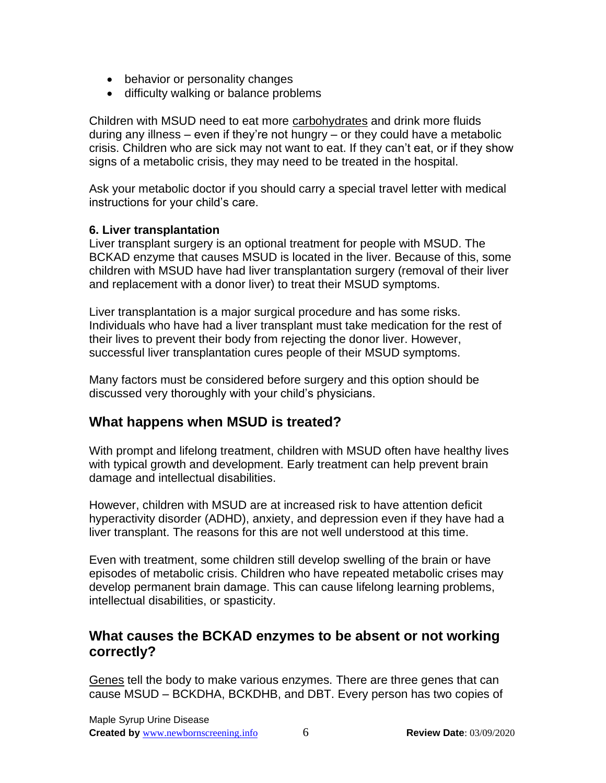- behavior or personality changes
- difficulty walking or balance problems

Children with MSUD need to eat more carbohydrates and drink more fluids during any illness – even if they're not hungry – or they could have a metabolic crisis. Children who are sick may not want to eat. If they can't eat, or if they show signs of a metabolic crisis, they may need to be treated in the hospital.

Ask your metabolic doctor if you should carry a special travel letter with medical instructions for your child's care.

#### **6. Liver transplantation**

Liver transplant surgery is an optional treatment for people with MSUD. The BCKAD enzyme that causes MSUD is located in the liver. Because of this, some children with MSUD have had liver transplantation surgery (removal of their liver and replacement with a donor liver) to treat their MSUD symptoms.

Liver transplantation is a major surgical procedure and has some risks. Individuals who have had a liver transplant must take medication for the rest of their lives to prevent their body from rejecting the donor liver. However, successful liver transplantation cures people of their MSUD symptoms.

Many factors must be considered before surgery and this option should be discussed very thoroughly with your child's physicians.

## **What happens when MSUD is treated?**

With prompt and lifelong treatment, children with MSUD often have healthy lives with typical growth and development. Early treatment can help prevent brain damage and intellectual disabilities.

However, children with MSUD are at increased risk to have attention deficit hyperactivity disorder (ADHD), anxiety, and depression even if they have had a liver transplant. The reasons for this are not well understood at this time.

Even with treatment, some children still develop swelling of the brain or have episodes of metabolic crisis. Children who have repeated metabolic crises may develop permanent brain damage. This can cause lifelong learning problems, intellectual disabilities, or spasticity.

### **What causes the BCKAD enzymes to be absent or not working correctly?**

Genes tell the body to make various enzymes. There are three genes that can cause MSUD – BCKDHA, BCKDHB, and DBT. Every person has two copies of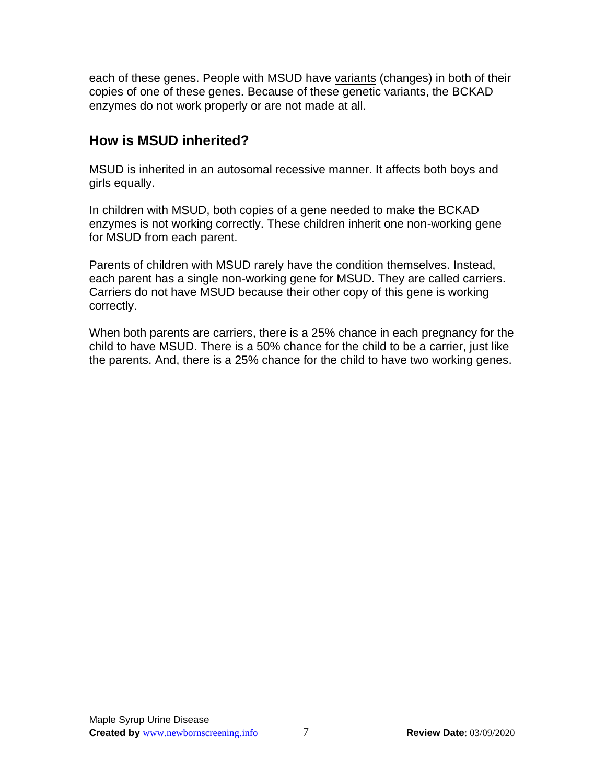each of these genes. People with MSUD have variants (changes) in both of their copies of one of these genes. Because of these genetic variants, the BCKAD enzymes do not work properly or are not made at all.

## **How is MSUD inherited?**

MSUD is inherited in an autosomal recessive manner. It affects both boys and girls equally.

In children with MSUD, both copies of a gene needed to make the BCKAD enzymes is not working correctly. These children inherit one non-working gene for MSUD from each parent.

Parents of children with MSUD rarely have the condition themselves. Instead, each parent has a single non-working gene for MSUD. They are called carriers. Carriers do not have MSUD because their other copy of this gene is working correctly.

When both parents are carriers, there is a 25% chance in each pregnancy for the child to have MSUD. There is a 50% chance for the child to be a carrier, just like the parents. And, there is a 25% chance for the child to have two working genes.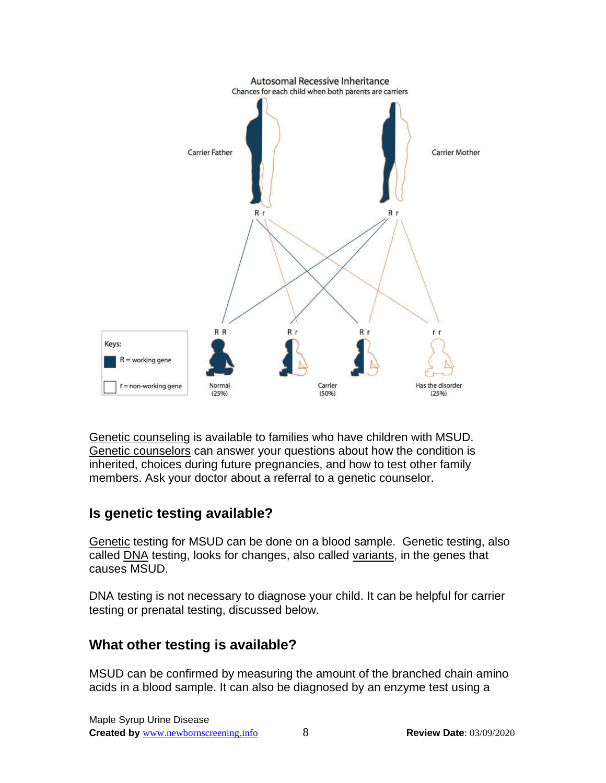

Genetic counseling is available to families who have children with MSUD. Genetic counselors can answer your questions about how the condition is inherited, choices during future pregnancies, and how to test other family members. Ask your doctor about a referral to a genetic counselor.

## **Is genetic testing available?**

Genetic testing for MSUD can be done on a blood sample. Genetic testing, also called DNA testing, looks for changes, also called variants, in the genes that causes MSUD.

DNA testing is not necessary to diagnose your child. It can be helpful for carrier testing or prenatal testing, discussed below.

## **What other testing is available?**

MSUD can be confirmed by measuring the amount of the branched chain amino acids in a blood sample. It can also be diagnosed by an enzyme test using a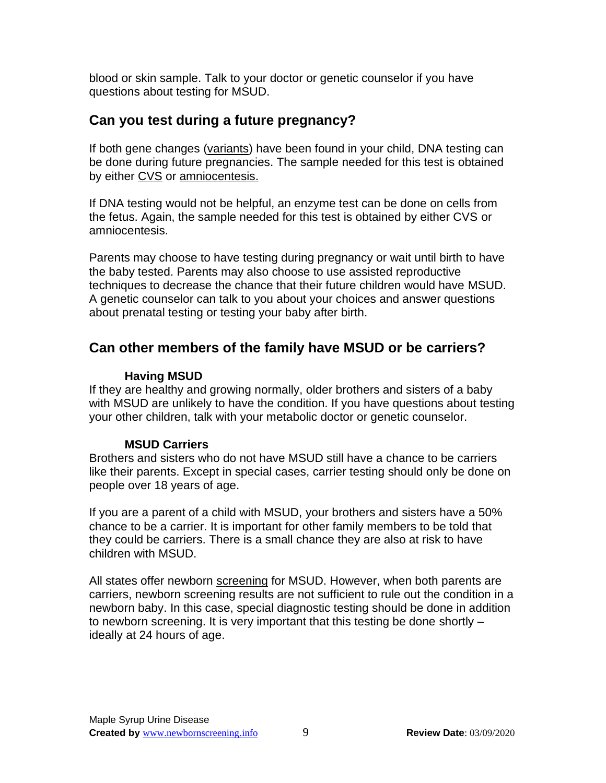blood or skin sample. Talk to your doctor or genetic counselor if you have questions about testing for MSUD.

## **Can you test during a future pregnancy?**

If both gene changes (variants) have been found in your child, DNA testing can be done during future pregnancies. The sample needed for this test is obtained by either CVS or amniocentesis.

If DNA testing would not be helpful, an enzyme test can be done on cells from the fetus. Again, the sample needed for this test is obtained by either CVS or amniocentesis.

Parents may choose to have testing during pregnancy or wait until birth to have the baby tested. Parents may also choose to use assisted reproductive techniques to decrease the chance that their future children would have MSUD. A genetic counselor can talk to you about your choices and answer questions about prenatal testing or testing your baby after birth.

## **Can other members of the family have MSUD or be carriers?**

#### **Having MSUD**

If they are healthy and growing normally, older brothers and sisters of a baby with MSUD are unlikely to have the condition. If you have questions about testing your other children, talk with your metabolic doctor or genetic counselor.

### **MSUD Carriers**

Brothers and sisters who do not have MSUD still have a chance to be carriers like their parents. Except in special cases, carrier testing should only be done on people over 18 years of age.

If you are a parent of a child with MSUD, your brothers and sisters have a 50% chance to be a carrier. It is important for other family members to be told that they could be carriers. There is a small chance they are also at risk to have children with MSUD.

All states offer newborn screening for MSUD. However, when both parents are carriers, newborn screening results are not sufficient to rule out the condition in a newborn baby. In this case, special diagnostic testing should be done in addition to newborn screening. It is very important that this testing be done shortly – ideally at 24 hours of age.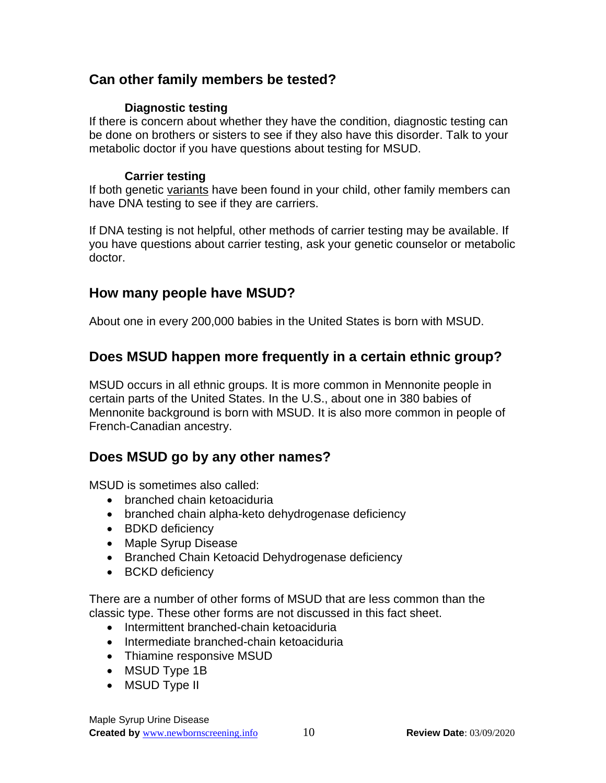## **Can other family members be tested?**

#### **Diagnostic testing**

If there is concern about whether they have the condition, diagnostic testing can be done on brothers or sisters to see if they also have this disorder. Talk to your metabolic doctor if you have questions about testing for MSUD.

#### **Carrier testing**

If both genetic variants have been found in your child, other family members can have DNA testing to see if they are carriers.

If DNA testing is not helpful, other methods of carrier testing may be available. If you have questions about carrier testing, ask your genetic counselor or metabolic doctor.

## **How many people have MSUD?**

About one in every 200,000 babies in the United States is born with MSUD.

## **Does MSUD happen more frequently in a certain ethnic group?**

MSUD occurs in all ethnic groups. It is more common in Mennonite people in certain parts of the United States. In the U.S., about one in 380 babies of Mennonite background is born with MSUD. It is also more common in people of French-Canadian ancestry.

## **Does MSUD go by any other names?**

MSUD is sometimes also called:

- branched chain ketoaciduria
- branched chain alpha-keto dehydrogenase deficiency
- BDKD deficiency
- Maple Syrup Disease
- Branched Chain Ketoacid Dehydrogenase deficiency
- BCKD deficiency

There are a number of other forms of MSUD that are less common than the classic type. These other forms are not discussed in this fact sheet.

- Intermittent branched-chain ketoaciduria
- Intermediate branched-chain ketoaciduria
- Thiamine responsive MSUD
- MSUD Type 1B
- MSUD Type II